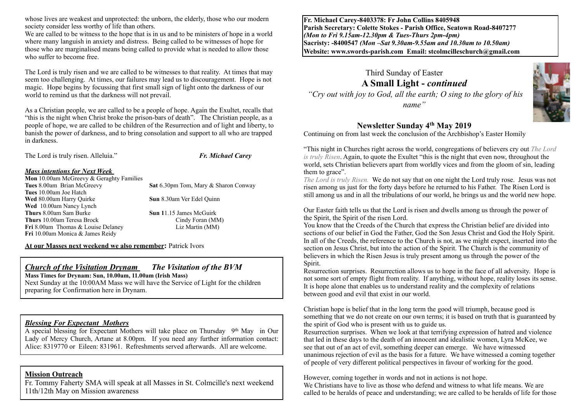whose lives are weakest and unprotected: the unborn, the elderly, those who our modern society consider less worthy of life than others.

We are called to be witness to the hope that is in us and to be ministers of hope in a world where many languish in anxiety and distress. Being called to be witnesses of hope for those who are marginalised means being called to provide what is needed to allow those who suffer to become free.

The Lord is truly risen and we are called to be witnesses to that reality. At times that may seem too challenging. At times, our failures may lead us to discouragement. Hope is not magic. Hope begins by focussing that first small sign of light onto the darkness of our world to remind us that the darkness will not prevail.

As a Christian people, we are called to be a people of hope. Again the Exultet, recalls that "this is the night when Christ broke the prison-bars of death". The Christian people, as a people of hope, we are called to be children of the Resurrection and of light and liberty, to banish the power of darkness, and to bring consolation and support to all who are trapped in darkness.

| The Lord is truly risen. Alleluia."      | <b>Fr. Michael Carey</b>                    |
|------------------------------------------|---------------------------------------------|
| <b>Mass intentions for Next Week</b>     |                                             |
| Mon 10.00am McGreevy & Geraghty Families |                                             |
| Tues 8.00am Brian McGreevy               | <b>Sat</b> 6.30pm Tom, Mary & Sharon Conway |
| Tues 10.00am Joe Hatch                   |                                             |
| Wed 80.00am Harry Quirke                 | Sun 8.30am Ver Edel Quinn                   |
| Wed 10.00am Nancy Lynch                  |                                             |
| <b>Thurs</b> 8.00am Sam Burke            | <b>Sun 11.15 James McGuirk</b>              |
| <b>Thurs</b> 10.00am Teresa Brock        | Cindy Foran (MM)                            |

**At our Masses next weekend we also remember:** Patrick Ivors

**Fri** 8.00am Thomas & Louise Delaney **Liz Martin (MM)** 

## *Church of the Visitation Drynam**The Visitation of the BVM*

**Mass Times for Drynam: Sun, 10.00am, 11.00am (Irish Mass)**  Next Sunday at the 10:00AM Mass we will have the Service of Light for the children preparing for Confirmation here in Drynam.

#### *Blessing For Expectant Mothers*

**Fri** 10.00am Monica & James Reidy

A special blessing for Expectant Mothers will take place on Thursday 9th May in Our Lady of Mercy Church, Artane at 8.00pm.If you need any further information contact: Alice: 8319770 or Eileen: 831961. Refreshments served afterwards. All are welcome.

#### **Mission Outreach**

Fr. Tommy Faherty SMA will speak at all Masses in St. Colmcille's next weekend 11th/12th May on Mission awareness

**Fr. Michael Carey-8403378: Fr John Collins 8405948 Parish Secretary: Colette Stokes - Parish Office, Seatown Road-8407277**  *(Mon to Fri 9.15am-12.30pm & Tues-Thurs 2pm-4pm)*  **Sacristy: -8400547** *(Mon –Sat 9.30am-9.55am and 10.30am to 10.50am)* **Website: [www.swords-parish.com Email:](http://www.swords-parish.com%20%20email) stcolmcilleschurch@gmail.com**

# Third Sunday of Easter **A Small Light -** *continued*

 *"Cry out with joy to God, all the earth; O sing to the glory of his name"* 

## **Newsletter Sunday 4th May 2019**

Continuing on from last week the conclusion of the Archbishop's Easter Homily

"This night in Churches right across the world, congregations of believers cry out *The Lord is truly Risen*. Again, to quote the Exultet "this is the night that even now, throughout the world, sets Christian believers apart from worldly vices and from the gloom of sin, leading them to grace".

*The Lord is truly Risen.* We do not say that on one night the Lord truly rose. Jesus was not risen among us just for the forty days before he returned to his Father. The Risen Lord is still among us and in all the tribulations of our world, he brings us and the world new hope.

Our Easter faith tells us that the Lord is risen and dwells among us through the power of the Spirit, the Spirit of the risen Lord.

You know that the Creeds of the Church that express the Christian belief are divided into sections of our belief in God the Father, God the Son Jesus Christ and God the Holy Spirit. In all of the Creeds, the reference to the Church is not, as we might expect, inserted into the section on Jesus Christ, but into the action of the Spirit. The Church is the community of believers in which the Risen Jesus is truly present among us through the power of the Spirit.

Resurrection surprises. Resurrection allows us to hope in the face of all adversity. Hope is not some sort of empty flight from reality. If anything, without hope, reality loses its sense. It is hope alone that enables us to understand reality and the complexity of relations between good and evil that exist in our world.

Christian hope is belief that in the long term the good will triumph, because good is something that we do not create on our own terms; it is based on truth that is guaranteed by the spirit of God who is present with us to guide us.

Resurrection surprises. When we look at that terrifying expression of hatred and violence that led in these days to the death of an innocent and idealistic women, Lyra McKee, we see that out of an act of evil, something deeper can emerge. We have witnessed unanimous rejection of evil as the basis for a future. We have witnessed a coming together of people of very different political perspectives in favour of working for the good.

However, coming together in words and not in actions is not hope. We Christians have to live as those who defend and witness to what life means. We are called to be heralds of peace and understanding; we are called to be heralds of life for those